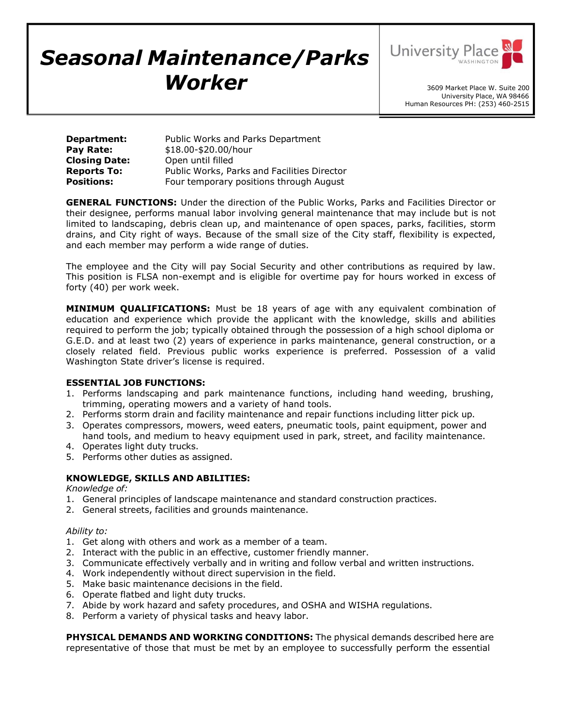# *Seasonal Maintenance/Parks Worker*



3609 Market Place W. Suite 200 University Place, WA 98466 Human Resources PH: (253) 460-2515

| <b>Department:</b>   | Public Works and Parks Department           |
|----------------------|---------------------------------------------|
| Pay Rate:            | \$18.00-\$20.00/hour                        |
| <b>Closing Date:</b> | Open until filled                           |
| <b>Reports To:</b>   | Public Works, Parks and Facilities Director |
| <b>Positions:</b>    | Four temporary positions through August     |

**GENERAL FUNCTIONS:** Under the direction of the Public Works, Parks and Facilities Director or their designee, performs manual labor involving general maintenance that may include but is not limited to landscaping, debris clean up, and maintenance of open spaces, parks, facilities, storm drains, and City right of ways. Because of the small size of the City staff, flexibility is expected, and each member may perform a wide range of duties.

The employee and the City will pay Social Security and other contributions as required by law. This position is FLSA non-exempt and is eligible for overtime pay for hours worked in excess of forty (40) per work week.

**MINIMUM QUALIFICATIONS:** Must be 18 years of age with any equivalent combination of education and experience which provide the applicant with the knowledge, skills and abilities required to perform the job; typically obtained through the possession of a high school diploma or G.E.D. and at least two (2) years of experience in parks maintenance, general construction, or a closely related field. Previous public works experience is preferred. Possession of a valid Washington State driver's license is required.

# **ESSENTIAL JOB FUNCTIONS:**

- 1. Performs landscaping and park maintenance functions, including hand weeding, brushing, trimming, operating mowers and a variety of hand tools.
- 2. Performs storm drain and facility maintenance and repair functions including litter pick up.
- 3. Operates compressors, mowers, weed eaters, pneumatic tools, paint equipment, power and hand tools, and medium to heavy equipment used in park, street, and facility maintenance.
- 4. Operates light duty trucks.
- 5. Performs other duties as assigned.

# **KNOWLEDGE, SKILLS AND ABILITIES:**

# *Knowledge of:*

- 1. General principles of landscape maintenance and standard construction practices.
- 2. General streets, facilities and grounds maintenance.

#### *Ability to:*

- 1. Get along with others and work as a member of a team.
- 2. Interact with the public in an effective, customer friendly manner.
- 3. Communicate effectively verbally and in writing and follow verbal and written instructions.
- 4. Work independently without direct supervision in the field.
- 5. Make basic maintenance decisions in the field.
- 6. Operate flatbed and light duty trucks.
- 7. Abide by work hazard and safety procedures, and OSHA and WISHA regulations.
- 8. Perform a variety of physical tasks and heavy labor.

**PHYSICAL DEMANDS AND WORKING CONDITIONS:** The physical demands described here are representative of those that must be met by an employee to successfully perform the essential